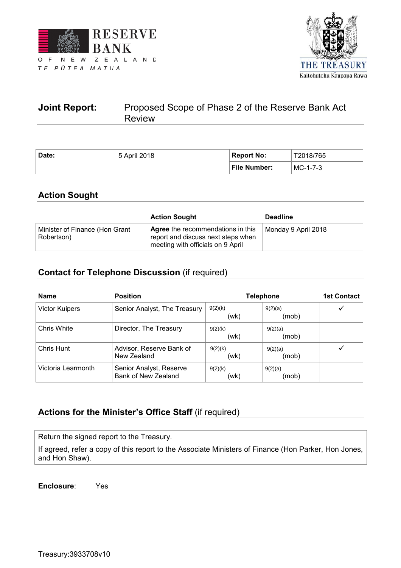



# **Joint Report:** Proposed Scope of Phase 2 of the Reserve Bank Act Review

| Date: | 5 April 2018 | <b>Report No:</b> | T2018/765  |  |
|-------|--------------|-------------------|------------|--|
|       |              | File Number:      | $MC-1-7-3$ |  |

# **Action Sought**

|                                              | <b>Action Sought</b>                                                                                                | <b>Deadline</b>     |
|----------------------------------------------|---------------------------------------------------------------------------------------------------------------------|---------------------|
| Minister of Finance (Hon Grant<br>Robertson) | <b>Agree</b> the recommendations in this<br>report and discuss next steps when<br>meeting with officials on 9 April | Monday 9 April 2018 |

# **Contact for Telephone Discussion** (if required)

| <b>Name</b>        | <b>Position</b>                                | <b>Telephone</b> | <b>1st Contact</b> |  |
|--------------------|------------------------------------------------|------------------|--------------------|--|
| Victor Kuipers     | Senior Analyst, The Treasury                   | 9(2)(k)<br>(wk)  | 9(2)(a)<br>(mob)   |  |
| Chris White        | Director, The Treasury                         | 9(2)(k)<br>(wk)  | 9(2)(a)<br>(mob)   |  |
| Chris Hunt         | Advisor, Reserve Bank of<br>New Zealand        | 9(2)(k)<br>(wk)  | 9(2)(a)<br>(mob)   |  |
| Victoria Learmonth | Senior Analyst, Reserve<br>Bank of New Zealand | 9(2)(k)<br>(wk)  | 9(2)(a)<br>(mob)   |  |

# **Actions for the Minister's Office Staff** (if required)

Return the signed report to the Treasury.

If agreed, refer a copy of this report to the Associate Ministers of Finance (Hon Parker, Hon Jones, and Hon Shaw).

**Enclosure**: Yes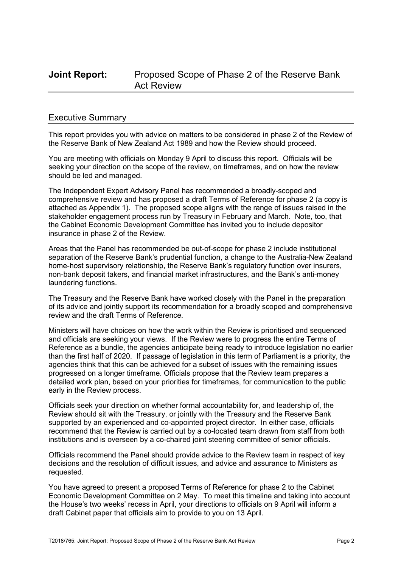## **Joint Report:** Proposed Scope of Phase 2 of the Reserve Bank Act Review

### Executive Summary

This report provides you with advice on matters to be considered in phase 2 of the Review of the Reserve Bank of New Zealand Act 1989 and how the Review should proceed.

You are meeting with officials on Monday 9 April to discuss this report. Officials will be seeking your direction on the scope of the review, on timeframes, and on how the review should be led and managed.

The Independent Expert Advisory Panel has recommended a broadly-scoped and comprehensive review and has proposed a draft Terms of Reference for phase 2 (a copy is attached as Appendix 1). The proposed scope aligns with the range of issues raised in the stakeholder engagement process run by Treasury in February and March. Note, too, that the Cabinet Economic Development Committee has invited you to include depositor insurance in phase 2 of the Review.

Areas that the Panel has recommended be out-of-scope for phase 2 include institutional separation of the Reserve Bank's prudential function, a change to the Australia-New Zealand home-host supervisory relationship, the Reserve Bank's regulatory function over insurers, non-bank deposit takers, and financial market infrastructures, and the Bank's anti-money laundering functions.

The Treasury and the Reserve Bank have worked closely with the Panel in the preparation of its advice and jointly support its recommendation for a broadly scoped and comprehensive review and the draft Terms of Reference.

Ministers will have choices on how the work within the Review is prioritised and sequenced and officials are seeking your views. If the Review were to progress the entire Terms of Reference as a bundle, the agencies anticipate being ready to introduce legislation no earlier than the first half of 2020. If passage of legislation in this term of Parliament is a priority, the agencies think that this can be achieved for a subset of issues with the remaining issues progressed on a longer timeframe. Officials propose that the Review team prepares a detailed work plan, based on your priorities for timeframes, for communication to the public early in the Review process.

Officials seek your direction on whether formal accountability for, and leadership of, the Review should sit with the Treasury, or jointly with the Treasury and the Reserve Bank supported by an experienced and co-appointed project director. In either case, officials recommend that the Review is carried out by a co-located team drawn from staff from both institutions and is overseen by a co-chaired joint steering committee of senior officials.

Officials recommend the Panel should provide advice to the Review team in respect of key decisions and the resolution of difficult issues, and advice and assurance to Ministers as requested.

You have agreed to present a proposed Terms of Reference for phase 2 to the Cabinet Economic Development Committee on 2 May. To meet this timeline and taking into account the House's two weeks' recess in April, your directions to officials on 9 April will inform a draft Cabinet paper that officials aim to provide to you on 13 April.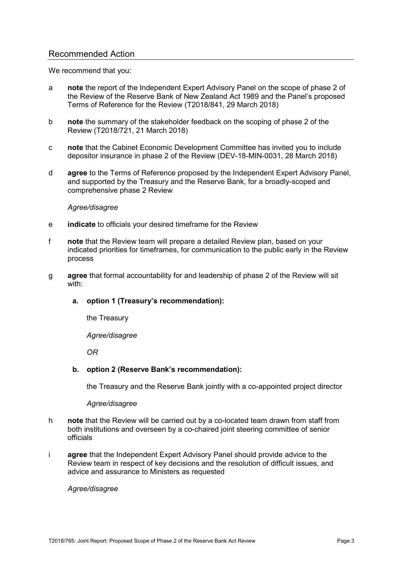### Recommended Action

We recommend that you:

- a **note** the report of the Independent Expert Advisory Panel on the scope of phase 2 of the Review of the Reserve Bank of New Zealand Act 1989 and the Panel's proposed Terms of Reference for the Review (T2018/841, 29 March 2018)
- b **note** the summary of the stakeholder feedback on the scoping of phase 2 of the Review (T2018/721, 21 March 2018)
- c **note** that the Cabinet Economic Development Committee has invited you to include depositor insurance in phase 2 of the Review (DEV-18-MIN-0031, 28 March 2018)
- d **agree** to the Terms of Reference proposed by the Independent Expert Advisory Panel, and supported by the Treasury and the Reserve Bank, for a broadly-scoped and comprehensive phase 2 Review

#### *Agree/disagree*

- e **indicate** to officials your desired timeframe for the Review
- f **note** that the Review team will prepare a detailed Review plan, based on your indicated priorities for timeframes, for communication to the public early in the Review process
- g **agree** that formal accountability for and leadership of phase 2 of the Review will sit with:

### **a. option 1 (Treasury's recommendation):**

the Treasury

*Agree/disagree* 

*OR*

### **b. option 2 (Reserve Bank's recommendation):**

the Treasury and the Reserve Bank jointly with a co-appointed project director

#### *Agree/disagree*

- h **note** that the Review will be carried out by a co-located team drawn from staff from both institutions and overseen by a co-chaired joint steering committee of senior officials
- i **agree** that the Independent Expert Advisory Panel should provide advice to the Review team in respect of key decisions and the resolution of difficult issues, and advice and assurance to Ministers as requested

#### *Agree/disagree*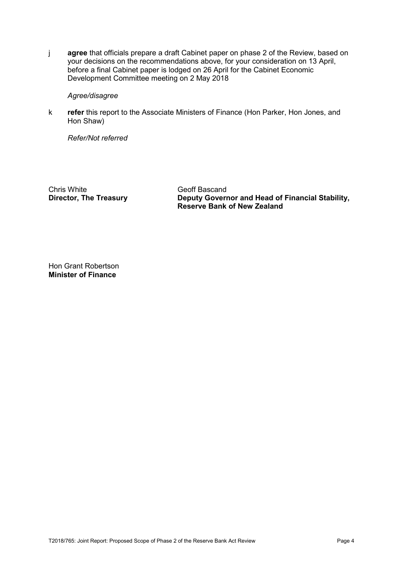j **agree** that officials prepare a draft Cabinet paper on phase 2 of the Review, based on your decisions on the recommendations above, for your consideration on 13 April, before a final Cabinet paper is lodged on 26 April for the Cabinet Economic Development Committee meeting on 2 May 2018

#### *Agree/disagree*

k **refer** this report to the Associate Ministers of Finance (Hon Parker, Hon Jones, and Hon Shaw)

*Refer/Not referred* 

Chris White Geoff Bascand<br>
Director, The Treasury Coverne Deputy Governe

**Deputy Governor and Head of Financial Stability, Reserve Bank of New Zealand** 

Hon Grant Robertson **Minister of Finance**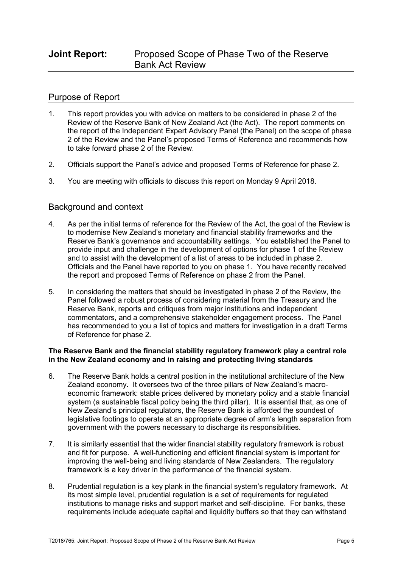### Purpose of Report

- 1. This report provides you with advice on matters to be considered in phase 2 of the Review of the Reserve Bank of New Zealand Act (the Act). The report comments on the report of the Independent Expert Advisory Panel (the Panel) on the scope of phase 2 of the Review and the Panel's proposed Terms of Reference and recommends how to take forward phase 2 of the Review.
- 2. Officials support the Panel's advice and proposed Terms of Reference for phase 2.
- 3. You are meeting with officials to discuss this report on Monday 9 April 2018.

### Background and context

- 4. As per the initial terms of reference for the Review of the Act, the goal of the Review is to modernise New Zealand's monetary and financial stability frameworks and the Reserve Bank's governance and accountability settings. You established the Panel to provide input and challenge in the development of options for phase 1 of the Review and to assist with the development of a list of areas to be included in phase 2. Officials and the Panel have reported to you on phase 1. You have recently received the report and proposed Terms of Reference on phase 2 from the Panel.
- 5. In considering the matters that should be investigated in phase 2 of the Review, the Panel followed a robust process of considering material from the Treasury and the Reserve Bank, reports and critiques from major institutions and independent commentators, and a comprehensive stakeholder engagement process. The Panel has recommended to you a list of topics and matters for investigation in a draft Terms of Reference for phase 2.

### **The Reserve Bank and the financial stability regulatory framework play a central role in the New Zealand economy and in raising and protecting living standards**

- 6. The Reserve Bank holds a central position in the institutional architecture of the New Zealand economy. It oversees two of the three pillars of New Zealand's macroeconomic framework: stable prices delivered by monetary policy and a stable financial system (a sustainable fiscal policy being the third pillar). It is essential that, as one of New Zealand's principal regulators, the Reserve Bank is afforded the soundest of legislative footings to operate at an appropriate degree of arm's length separation from government with the powers necessary to discharge its responsibilities.
- 7. It is similarly essential that the wider financial stability regulatory framework is robust and fit for purpose. A well-functioning and efficient financial system is important for improving the well-being and living standards of New Zealanders. The regulatory framework is a key driver in the performance of the financial system.
- 8. Prudential regulation is a key plank in the financial system's regulatory framework. At its most simple level, prudential regulation is a set of requirements for regulated institutions to manage risks and support market and self-discipline. For banks, these requirements include adequate capital and liquidity buffers so that they can withstand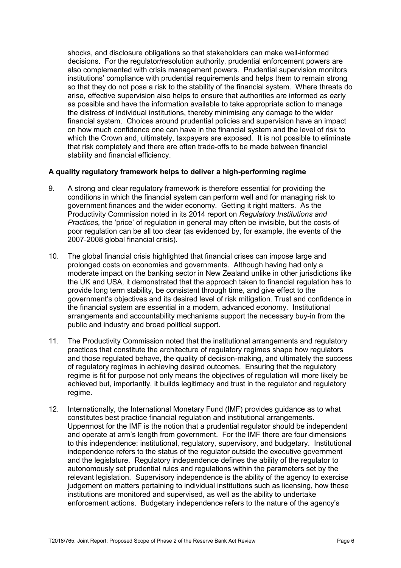shocks, and disclosure obligations so that stakeholders can make well-informed decisions. For the regulator/resolution authority, prudential enforcement powers are also complemented with crisis management powers. Prudential supervision monitors institutions' compliance with prudential requirements and helps them to remain strong so that they do not pose a risk to the stability of the financial system. Where threats do arise, effective supervision also helps to ensure that authorities are informed as early as possible and have the information available to take appropriate action to manage the distress of individual institutions, thereby minimising any damage to the wider financial system. Choices around prudential policies and supervision have an impact on how much confidence one can have in the financial system and the level of risk to which the Crown and, ultimately, taxpayers are exposed. It is not possible to eliminate that risk completely and there are often trade-offs to be made between financial stability and financial efficiency.

### **A quality regulatory framework helps to deliver a high-performing regime**

- 9. A strong and clear regulatory framework is therefore essential for providing the conditions in which the financial system can perform well and for managing risk to government finances and the wider economy. Getting it right matters. As the Productivity Commission noted in its 2014 report on *Regulatory Institutions and Practices,* the 'price' of regulation in general may often be invisible, but the costs of poor regulation can be all too clear (as evidenced by, for example, the events of the 2007-2008 global financial crisis).
- 10. The global financial crisis highlighted that financial crises can impose large and prolonged costs on economies and governments. Although having had only a moderate impact on the banking sector in New Zealand unlike in other jurisdictions like the UK and USA, it demonstrated that the approach taken to financial regulation has to provide long term stability, be consistent through time, and give effect to the government's objectives and its desired level of risk mitigation. Trust and confidence in the financial system are essential in a modern, advanced economy. Institutional arrangements and accountability mechanisms support the necessary buy-in from the public and industry and broad political support.
- 11. The Productivity Commission noted that the institutional arrangements and regulatory practices that constitute the architecture of regulatory regimes shape how regulators and those regulated behave, the quality of decision-making, and ultimately the success of regulatory regimes in achieving desired outcomes. Ensuring that the regulatory regime is fit for purpose not only means the objectives of regulation will more likely be achieved but, importantly, it builds legitimacy and trust in the regulator and regulatory regime.
- 12. Internationally, the International Monetary Fund (IMF) provides guidance as to what constitutes best practice financial regulation and institutional arrangements. Uppermost for the IMF is the notion that a prudential regulator should be independent and operate at arm's length from government. For the IMF there are four dimensions to this independence: institutional, regulatory, supervisory, and budgetary. Institutional independence refers to the status of the regulator outside the executive government and the legislature. Regulatory independence defines the ability of the regulator to autonomously set prudential rules and regulations within the parameters set by the relevant legislation. Supervisory independence is the ability of the agency to exercise judgement on matters pertaining to individual institutions such as licensing, how these institutions are monitored and supervised, as well as the ability to undertake enforcement actions. Budgetary independence refers to the nature of the agency's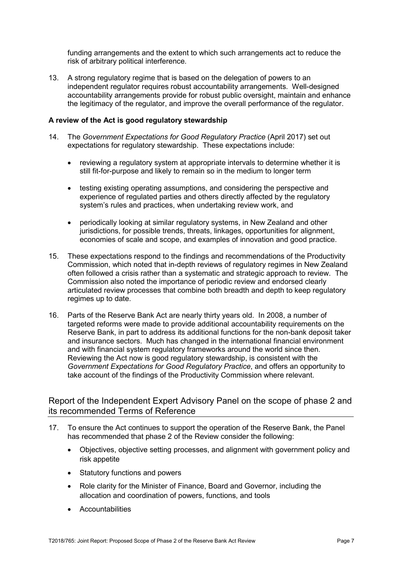funding arrangements and the extent to which such arrangements act to reduce the risk of arbitrary political interference.

13. A strong regulatory regime that is based on the delegation of powers to an independent regulator requires robust accountability arrangements. Well-designed accountability arrangements provide for robust public oversight, maintain and enhance the legitimacy of the regulator, and improve the overall performance of the regulator.

#### **A review of the Act is good regulatory stewardship**

- 14. The *Government Expectations for Good Regulatory Practice* (April 2017) set out expectations for regulatory stewardship. These expectations include:
	- reviewing a regulatory system at appropriate intervals to determine whether it is still fit-for-purpose and likely to remain so in the medium to longer term
	- testing existing operating assumptions, and considering the perspective and experience of regulated parties and others directly affected by the regulatory system's rules and practices, when undertaking review work, and
	- periodically looking at similar regulatory systems, in New Zealand and other jurisdictions, for possible trends, threats, linkages, opportunities for alignment, economies of scale and scope, and examples of innovation and good practice.
- 15. These expectations respond to the findings and recommendations of the Productivity Commission, which noted that in-depth reviews of regulatory regimes in New Zealand often followed a crisis rather than a systematic and strategic approach to review. The Commission also noted the importance of periodic review and endorsed clearly articulated review processes that combine both breadth and depth to keep regulatory regimes up to date.
- 16. Parts of the Reserve Bank Act are nearly thirty years old. In 2008, a number of targeted reforms were made to provide additional accountability requirements on the Reserve Bank, in part to address its additional functions for the non-bank deposit taker and insurance sectors. Much has changed in the international financial environment and with financial system regulatory frameworks around the world since then. Reviewing the Act now is good regulatory stewardship, is consistent with the *Government Expectations for Good Regulatory Practice*, and offers an opportunity to take account of the findings of the Productivity Commission where relevant.

### Report of the Independent Expert Advisory Panel on the scope of phase 2 and its recommended Terms of Reference

- 17. To ensure the Act continues to support the operation of the Reserve Bank, the Panel has recommended that phase 2 of the Review consider the following:
	- Objectives, objective setting processes, and alignment with government policy and risk appetite
	- Statutory functions and powers
	- Role clarity for the Minister of Finance, Board and Governor, including the allocation and coordination of powers, functions, and tools
	- Accountabilities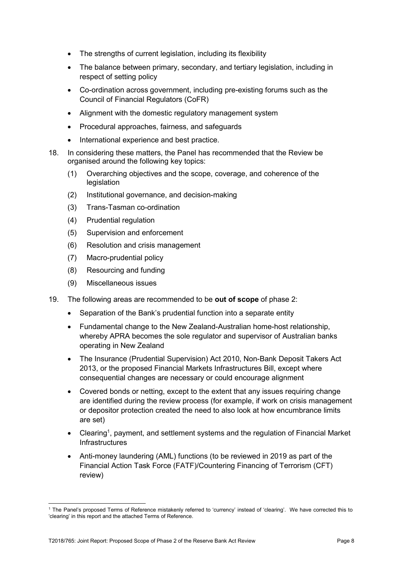- The strengths of current legislation, including its flexibility
- The balance between primary, secondary, and tertiary legislation, including in respect of setting policy
- Co-ordination across government, including pre-existing forums such as the Council of Financial Regulators (CoFR)
- Alignment with the domestic regulatory management system
- Procedural approaches, fairness, and safeguards
- International experience and best practice.
- 18. In considering these matters, the Panel has recommended that the Review be organised around the following key topics:
	- (1) Overarching objectives and the scope, coverage, and coherence of the legislation
	- (2) Institutional governance, and decision-making
	- (3) Trans-Tasman co-ordination
	- (4) Prudential regulation
	- (5) Supervision and enforcement
	- (6) Resolution and crisis management
	- (7) Macro-prudential policy
	- (8) Resourcing and funding
	- (9) Miscellaneous issues

- 19. The following areas are recommended to be **out of scope** of phase 2:
	- Separation of the Bank's prudential function into a separate entity
	- Fundamental change to the New Zealand-Australian home-host relationship, whereby APRA becomes the sole regulator and supervisor of Australian banks operating in New Zealand
	- The Insurance (Prudential Supervision) Act 2010, Non-Bank Deposit Takers Act 2013, or the proposed Financial Markets Infrastructures Bill, except where consequential changes are necessary or could encourage alignment
	- Covered bonds or netting, except to the extent that any issues requiring change are identified during the review process (for example, if work on crisis management or depositor protection created the need to also look at how encumbrance limits are set)
	- Clearing<sup>1</sup>, payment, and settlement systems and the regulation of Financial Market **Infrastructures**
	- Anti-money laundering (AML) functions (to be reviewed in 2019 as part of the Financial Action Task Force (FATF)/Countering Financing of Terrorism (CFT) review)

<sup>1</sup> The Panel's proposed Terms of Reference mistakenly referred to 'currency' instead of 'clearing'. We have corrected this to 'clearing' in this report and the attached Terms of Reference.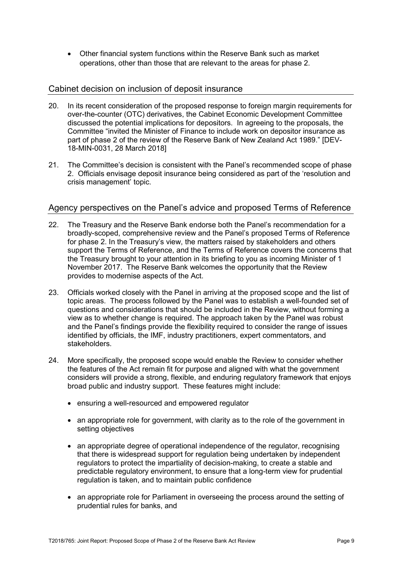• Other financial system functions within the Reserve Bank such as market operations, other than those that are relevant to the areas for phase 2.

### Cabinet decision on inclusion of deposit insurance

- 20. In its recent consideration of the proposed response to foreign margin requirements for over-the-counter (OTC) derivatives, the Cabinet Economic Development Committee discussed the potential implications for depositors. In agreeing to the proposals, the Committee "invited the Minister of Finance to include work on depositor insurance as part of phase 2 of the review of the Reserve Bank of New Zealand Act 1989." [DEV-18-MIN-0031, 28 March 2018]
- 21. The Committee's decision is consistent with the Panel's recommended scope of phase 2. Officials envisage deposit insurance being considered as part of the 'resolution and crisis management' topic.

### Agency perspectives on the Panel's advice and proposed Terms of Reference

- 22. The Treasury and the Reserve Bank endorse both the Panel's recommendation for a broadly-scoped, comprehensive review and the Panel's proposed Terms of Reference for phase 2. In the Treasury's view, the matters raised by stakeholders and others support the Terms of Reference, and the Terms of Reference covers the concerns that the Treasury brought to your attention in its briefing to you as incoming Minister of 1 November 2017. The Reserve Bank welcomes the opportunity that the Review provides to modernise aspects of the Act.
- 23. Officials worked closely with the Panel in arriving at the proposed scope and the list of topic areas. The process followed by the Panel was to establish a well-founded set of questions and considerations that should be included in the Review, without forming a view as to whether change is required. The approach taken by the Panel was robust and the Panel's findings provide the flexibility required to consider the range of issues identified by officials, the IMF, industry practitioners, expert commentators, and stakeholders.
- 24. More specifically, the proposed scope would enable the Review to consider whether the features of the Act remain fit for purpose and aligned with what the government considers will provide a strong, flexible, and enduring regulatory framework that enjoys broad public and industry support. These features might include:
	- ensuring a well-resourced and empowered regulator
	- an appropriate role for government, with clarity as to the role of the government in setting objectives
	- an appropriate degree of operational independence of the regulator, recognising that there is widespread support for regulation being undertaken by independent regulators to protect the impartiality of decision-making, to create a stable and predictable regulatory environment, to ensure that a long-term view for prudential regulation is taken, and to maintain public confidence
	- an appropriate role for Parliament in overseeing the process around the setting of prudential rules for banks, and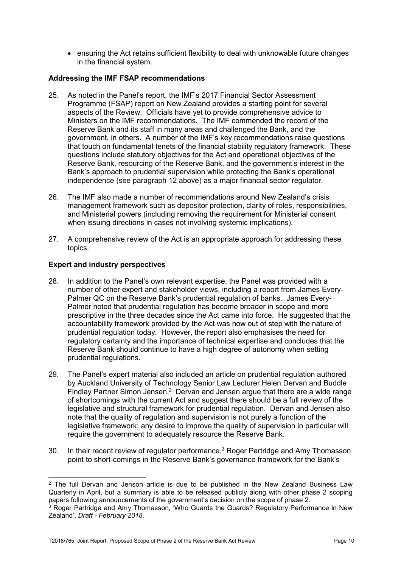• ensuring the Act retains sufficient flexibility to deal with unknowable future changes in the financial system.

### **Addressing the IMF FSAP recommendations**

- 25. As noted in the Panel's report, the IMF's 2017 Financial Sector Assessment Programme (FSAP) report on New Zealand provides a starting point for several aspects of the Review. Officials have yet to provide comprehensive advice to Ministers on the IMF recommendations. The IMF commended the record of the Reserve Bank and its staff in many areas and challenged the Bank, and the government, in others. A number of the IMF's key recommendations raise questions that touch on fundamental tenets of the financial stability regulatory framework. These questions include statutory objectives for the Act and operational objectives of the Reserve Bank, resourcing of the Reserve Bank, and the government's interest in the Bank's approach to prudential supervision while protecting the Bank's operational independence (see paragraph 12 above) as a major financial sector regulator.
- 26. The IMF also made a number of recommendations around New Zealand's crisis management framework such as depositor protection, clarity of roles, responsibilities, and Ministerial powers (including removing the requirement for Ministerial consent when issuing directions in cases not involving systemic implications).
- 27. A comprehensive review of the Act is an appropriate approach for addressing these topics.

### **Expert and industry perspectives**

 $\overline{a}$ 

- 28. In addition to the Panel's own relevant expertise, the Panel was provided with a number of other expert and stakeholder views, including a report from James Every-Palmer QC on the Reserve Bank's prudential regulation of banks. James Every-Palmer noted that prudential regulation has become broader in scope and more prescriptive in the three decades since the Act came into force. He suggested that the accountability framework provided by the Act was now out of step with the nature of prudential regulation today. However, the report also emphasises the need for regulatory certainty and the importance of technical expertise and concludes that the Reserve Bank should continue to have a high degree of autonomy when setting prudential regulations.
- 29. The Panel's expert material also included an article on prudential regulation authored by Auckland University of Technology Senior Law Lecturer Helen Dervan and Buddle Findlay Partner Simon Jensen. $2$  Dervan and Jensen argue that there are a wide range of shortcomings with the current Act and suggest there should be a full review of the legislative and structural framework for prudential regulation. Dervan and Jensen also note that the quality of regulation and supervision is not purely a function of the legislative framework; any desire to improve the quality of supervision in particular will require the government to adequately resource the Reserve Bank.
- 30. In their recent review of regulator performance,<sup>3</sup> Roger Partridge and Amy Thomasson point to short-comings in the Reserve Bank's governance framework for the Bank's

 $2$  The full Dervan and Jenson article is due to be published in the New Zealand Business Law Quarterly in April, but a summary is able to be released publicly along with other phase 2 scoping papers following announcements of the government's decision on the scope of phase 2.

<sup>&</sup>lt;sup>3</sup> Roger Partridge and Amy Thomasson, 'Who Guards the Guards? Regulatory Performance in New Zealand', *Draft - February 2018.*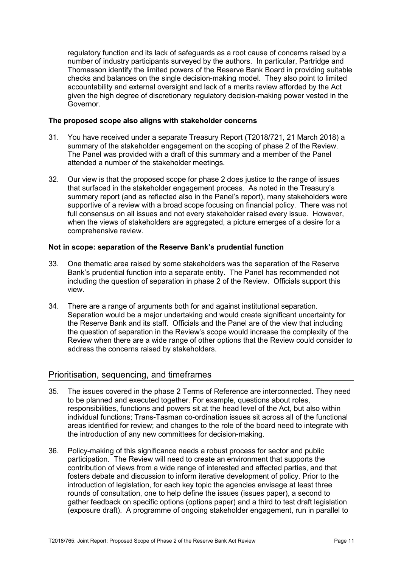regulatory function and its lack of safeguards as a root cause of concerns raised by a number of industry participants surveyed by the authors. In particular, Partridge and Thomasson identify the limited powers of the Reserve Bank Board in providing suitable checks and balances on the single decision-making model. They also point to limited accountability and external oversight and lack of a merits review afforded by the Act given the high degree of discretionary regulatory decision-making power vested in the Governor.

#### **The proposed scope also aligns with stakeholder concerns**

- 31. You have received under a separate Treasury Report (T2018/721, 21 March 2018) a summary of the stakeholder engagement on the scoping of phase 2 of the Review. The Panel was provided with a draft of this summary and a member of the Panel attended a number of the stakeholder meetings.
- 32. Our view is that the proposed scope for phase 2 does justice to the range of issues that surfaced in the stakeholder engagement process. As noted in the Treasury's summary report (and as reflected also in the Panel's report), many stakeholders were supportive of a review with a broad scope focusing on financial policy. There was not full consensus on all issues and not every stakeholder raised every issue. However, when the views of stakeholders are aggregated, a picture emerges of a desire for a comprehensive review.

### **Not in scope: separation of the Reserve Bank's prudential function**

- 33. One thematic area raised by some stakeholders was the separation of the Reserve Bank's prudential function into a separate entity. The Panel has recommended not including the question of separation in phase 2 of the Review. Officials support this view.
- 34. There are a range of arguments both for and against institutional separation. Separation would be a major undertaking and would create significant uncertainty for the Reserve Bank and its staff. Officials and the Panel are of the view that including the question of separation in the Review's scope would increase the complexity of the Review when there are a wide range of other options that the Review could consider to address the concerns raised by stakeholders.

### Prioritisation, sequencing, and timeframes

- 35. The issues covered in the phase 2 Terms of Reference are interconnected. They need to be planned and executed together. For example, questions about roles, responsibilities, functions and powers sit at the head level of the Act, but also within individual functions; Trans-Tasman co-ordination issues sit across all of the functional areas identified for review; and changes to the role of the board need to integrate with the introduction of any new committees for decision-making.
- 36. Policy-making of this significance needs a robust process for sector and public participation. The Review will need to create an environment that supports the contribution of views from a wide range of interested and affected parties, and that fosters debate and discussion to inform iterative development of policy. Prior to the introduction of legislation, for each key topic the agencies envisage at least three rounds of consultation, one to help define the issues (issues paper), a second to gather feedback on specific options (options paper) and a third to test draft legislation (exposure draft). A programme of ongoing stakeholder engagement, run in parallel to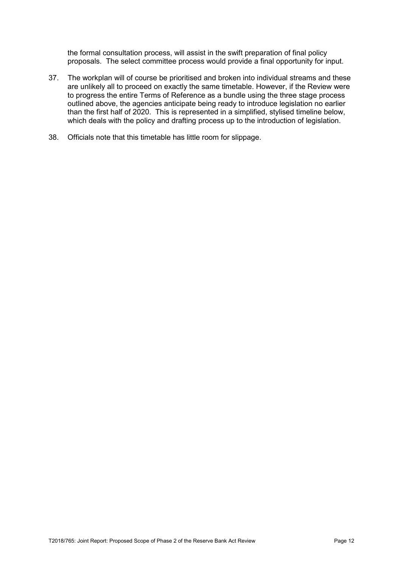the formal consultation process, will assist in the swift preparation of final policy proposals. The select committee process would provide a final opportunity for input.

- 37. The workplan will of course be prioritised and broken into individual streams and these are unlikely all to proceed on exactly the same timetable. However, if the Review were to progress the entire Terms of Reference as a bundle using the three stage process outlined above, the agencies anticipate being ready to introduce legislation no earlier than the first half of 2020. This is represented in a simplified, stylised timeline below, which deals with the policy and drafting process up to the introduction of legislation.
- 38. Officials note that this timetable has little room for slippage.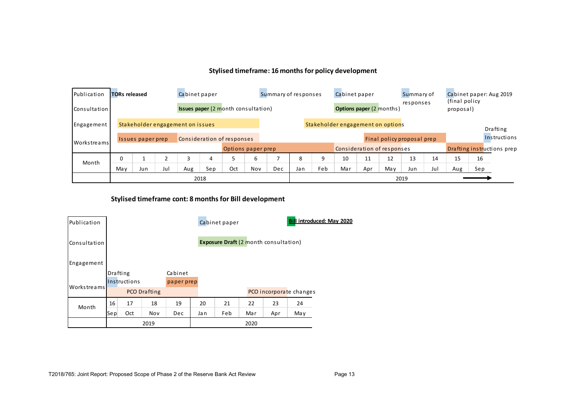### **Stylised timeframe: 16 months for policy development**

| Publication         | <b>TORs released</b>                                                  | Cabinet paper     |     |     |                    | Summary of responses                       |     |     | Cabinet paper                   |                            |                            | Summary of             |      | Cabinet paper: Aug 2019<br>(final policy |                            |              |     |  |
|---------------------|-----------------------------------------------------------------------|-------------------|-----|-----|--------------------|--------------------------------------------|-----|-----|---------------------------------|----------------------------|----------------------------|------------------------|------|------------------------------------------|----------------------------|--------------|-----|--|
| <b>Consultation</b> |                                                                       |                   |     |     |                    | <b>Issues paper (2 month consultation)</b> |     |     | <b>Options paper (2 months)</b> |                            |                            | responses<br>proposal) |      |                                          |                            |              |     |  |
| Engagement          | Stakeholder engagement on options<br>Stakeholder engagement on issues |                   |     |     |                    |                                            |     |     |                                 |                            |                            | Drafting               |      |                                          |                            |              |     |  |
| <b>Workstreams</b>  |                                                                       | Issues paper prep |     |     |                    | Consideration of responses                 |     |     |                                 |                            | Final policy proposal prep |                        |      |                                          |                            | Instructions |     |  |
|                     |                                                                       |                   |     |     | Options paper prep |                                            |     |     |                                 | Consideration of responses |                            |                        |      |                                          | Drafting instructions prep |              |     |  |
| Month               | $\Omega$                                                              |                   |     | 3   | 4                  |                                            | 6   |     | 8                               | 9                          | 10                         | 11                     | 12   | 13                                       | 14                         | 15           | 16  |  |
|                     | May                                                                   | Jun               | Jul | Aug | Sep                | Oct                                        | Nov | Dec | Jan                             | Feb                        | Mar                        | Apr                    | Ma v | Jun                                      | Jul                        | Aug          | Sep |  |
|                     | 2018                                                                  |                   |     |     |                    |                                            |     |     |                                 |                            |                            |                        | 2019 |                                          |                            |              |     |  |

### **Stylised timeframe cont: 8 months for Bill development**

| Publication  |                 |              |              |            |     | Cabinet paper                                |     | <b>Bill introduced: May 2020</b> |                         |  |  |  |
|--------------|-----------------|--------------|--------------|------------|-----|----------------------------------------------|-----|----------------------------------|-------------------------|--|--|--|
| Consultation |                 |              |              |            |     | <b>Exposure Draft (2 month consultation)</b> |     |                                  |                         |  |  |  |
| Engagement   |                 |              |              |            |     |                                              |     |                                  |                         |  |  |  |
|              | <b>Drafting</b> |              |              | Cabinet    |     |                                              |     |                                  |                         |  |  |  |
|              |                 | Instructions |              | paper prep |     |                                              |     |                                  |                         |  |  |  |
| Workstreams  |                 |              | PCO Drafting |            |     |                                              |     |                                  | PCO incorporate changes |  |  |  |
| Month        | 16              | 17           | 18           | 19         | 20  | 21                                           | 22  | 23                               | 24                      |  |  |  |
|              | Sep             | Oct          | Nov          | Dec        | Jan | Feb                                          | Mar | Apr                              | May                     |  |  |  |
|              |                 |              | 2019         |            |     | 2020                                         |     |                                  |                         |  |  |  |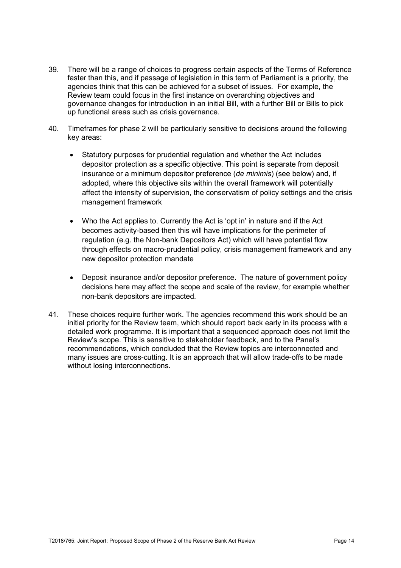- 39. There will be a range of choices to progress certain aspects of the Terms of Reference faster than this, and if passage of legislation in this term of Parliament is a priority, the agencies think that this can be achieved for a subset of issues. For example, the Review team could focus in the first instance on overarching objectives and governance changes for introduction in an initial Bill, with a further Bill or Bills to pick up functional areas such as crisis governance.
- 40. Timeframes for phase 2 will be particularly sensitive to decisions around the following key areas:
	- Statutory purposes for prudential regulation and whether the Act includes depositor protection as a specific objective. This point is separate from deposit insurance or a minimum depositor preference (*de minimis*) (see below) and, if adopted, where this objective sits within the overall framework will potentially affect the intensity of supervision, the conservatism of policy settings and the crisis management framework
	- Who the Act applies to. Currently the Act is 'opt in' in nature and if the Act becomes activity-based then this will have implications for the perimeter of regulation (e.g. the Non-bank Depositors Act) which will have potential flow through effects on macro-prudential policy, crisis management framework and any new depositor protection mandate
	- Deposit insurance and/or depositor preference. The nature of government policy decisions here may affect the scope and scale of the review, for example whether non-bank depositors are impacted.
- 41. These choices require further work. The agencies recommend this work should be an initial priority for the Review team, which should report back early in its process with a detailed work programme. It is important that a sequenced approach does not limit the Review's scope. This is sensitive to stakeholder feedback, and to the Panel's recommendations, which concluded that the Review topics are interconnected and many issues are cross-cutting. It is an approach that will allow trade-offs to be made without losing interconnections.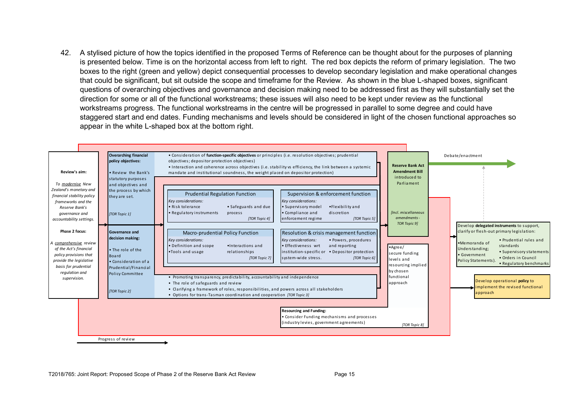42. A stylised picture of how the topics identified in the proposed Terms of Reference can be thought about for the purposes of planning is presented below. Time is on the horizontal access from left to right. The red box depicts the reform of primary legislation. The two boxes to the right (green and yellow) depict consequential processes to develop secondary legislation and make operational changes that could be significant, but sit outside the scope and timeframe for the Review. As shown in the blue L-shaped boxes, significant questions of overarching objectives and governance and decision making need to be addressed first as they will substantially set the direction for some or all of the functional workstreams; these issues will also need to be kept under review as the functional workstreams progress. The functional workstreams in the centre will be progressed in parallel to some degree and could have staggered start and end dates. Funding mechanisms and levels should be considered in light of the chosen functional approaches so appear in the white L-shaped box at the bottom right.

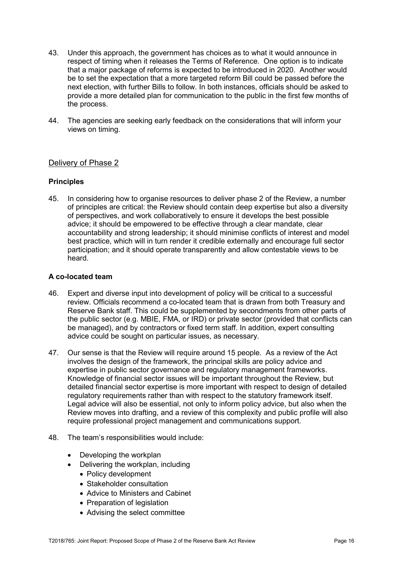- 43. Under this approach, the government has choices as to what it would announce in respect of timing when it releases the Terms of Reference. One option is to indicate that a major package of reforms is expected to be introduced in 2020. Another would be to set the expectation that a more targeted reform Bill could be passed before the next election, with further Bills to follow. In both instances, officials should be asked to provide a more detailed plan for communication to the public in the first few months of the process.
- 44. The agencies are seeking early feedback on the considerations that will inform your views on timing.

### Delivery of Phase 2

### **Principles**

45. In considering how to organise resources to deliver phase 2 of the Review, a number of principles are critical: the Review should contain deep expertise but also a diversity of perspectives, and work collaboratively to ensure it develops the best possible advice; it should be empowered to be effective through a clear mandate, clear accountability and strong leadership; it should minimise conflicts of interest and model best practice, which will in turn render it credible externally and encourage full sector participation; and it should operate transparently and allow contestable views to be heard.

### **A co-located team**

- 46. Expert and diverse input into development of policy will be critical to a successful review. Officials recommend a co-located team that is drawn from both Treasury and Reserve Bank staff. This could be supplemented by secondments from other parts of the public sector (e.g. MBIE, FMA, or IRD) or private sector (provided that conflicts can be managed), and by contractors or fixed term staff. In addition, expert consulting advice could be sought on particular issues, as necessary.
- 47. Our sense is that the Review will require around 15 people. As a review of the Act involves the design of the framework, the principal skills are policy advice and expertise in public sector governance and regulatory management frameworks. Knowledge of financial sector issues will be important throughout the Review, but detailed financial sector expertise is more important with respect to design of detailed regulatory requirements rather than with respect to the statutory framework itself. Legal advice will also be essential, not only to inform policy advice, but also when the Review moves into drafting, and a review of this complexity and public profile will also require professional project management and communications support.
- 48. The team's responsibilities would include:
	- Developing the workplan
	- Delivering the workplan, including
		- Policy development
		- Stakeholder consultation
		- Advice to Ministers and Cabinet
		- Preparation of legislation
		- Advising the select committee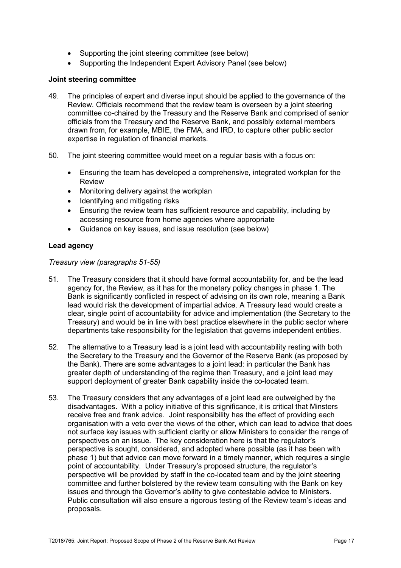- Supporting the joint steering committee (see below)
- Supporting the Independent Expert Advisory Panel (see below)

#### **Joint steering committee**

- 49. The principles of expert and diverse input should be applied to the governance of the Review. Officials recommend that the review team is overseen by a joint steering committee co-chaired by the Treasury and the Reserve Bank and comprised of senior officials from the Treasury and the Reserve Bank, and possibly external members drawn from, for example, MBIE, the FMA, and IRD, to capture other public sector expertise in regulation of financial markets.
- 50. The joint steering committee would meet on a regular basis with a focus on:
	- Ensuring the team has developed a comprehensive, integrated workplan for the Review
	- Monitoring delivery against the workplan
	- Identifying and mitigating risks
	- Ensuring the review team has sufficient resource and capability, including by accessing resource from home agencies where appropriate
	- Guidance on key issues, and issue resolution (see below)

### **Lead agency**

*Treasury view (paragraphs 51-55)* 

- 51. The Treasury considers that it should have formal accountability for, and be the lead agency for, the Review, as it has for the monetary policy changes in phase 1. The Bank is significantly conflicted in respect of advising on its own role, meaning a Bank lead would risk the development of impartial advice. A Treasury lead would create a clear, single point of accountability for advice and implementation (the Secretary to the Treasury) and would be in line with best practice elsewhere in the public sector where departments take responsibility for the legislation that governs independent entities.
- 52. The alternative to a Treasury lead is a joint lead with accountability resting with both the Secretary to the Treasury and the Governor of the Reserve Bank (as proposed by the Bank). There are some advantages to a joint lead: in particular the Bank has greater depth of understanding of the regime than Treasury, and a joint lead may support deployment of greater Bank capability inside the co-located team.
- 53. The Treasury considers that any advantages of a joint lead are outweighed by the disadvantages. With a policy initiative of this significance, it is critical that Minsters receive free and frank advice. Joint responsibility has the effect of providing each organisation with a veto over the views of the other, which can lead to advice that does not surface key issues with sufficient clarity or allow Ministers to consider the range of perspectives on an issue. The key consideration here is that the regulator's perspective is sought, considered, and adopted where possible (as it has been with phase 1) but that advice can move forward in a timely manner, which requires a single point of accountability. Under Treasury's proposed structure, the regulator's perspective will be provided by staff in the co-located team and by the joint steering committee and further bolstered by the review team consulting with the Bank on key issues and through the Governor's ability to give contestable advice to Ministers. Public consultation will also ensure a rigorous testing of the Review team's ideas and proposals.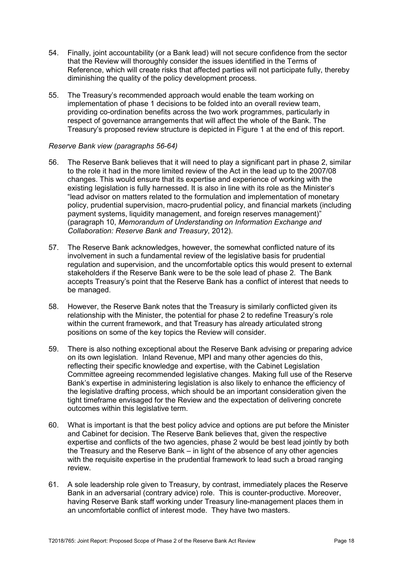- 54. Finally, joint accountability (or a Bank lead) will not secure confidence from the sector that the Review will thoroughly consider the issues identified in the Terms of Reference, which will create risks that affected parties will not participate fully, thereby diminishing the quality of the policy development process.
- 55. The Treasury's recommended approach would enable the team working on implementation of phase 1 decisions to be folded into an overall review team, providing co-ordination benefits across the two work programmes, particularly in respect of governance arrangements that will affect the whole of the Bank. The Treasury's proposed review structure is depicted in Figure 1 at the end of this report.

### *Reserve Bank view (paragraphs 56-64)*

- 56. The Reserve Bank believes that it will need to play a significant part in phase 2, similar to the role it had in the more limited review of the Act in the lead up to the 2007/08 changes. This would ensure that its expertise and experience of working with the existing legislation is fully harnessed. It is also in line with its role as the Minister's "lead advisor on matters related to the formulation and implementation of monetary policy, prudential supervision, macro-prudential policy, and financial markets (including payment systems, liquidity management, and foreign reserves management)" (paragraph 10, *Memorandum of Understanding on Information Exchange and Collaboration: Reserve Bank and Treasury*, 2012).
- 57. The Reserve Bank acknowledges, however, the somewhat conflicted nature of its involvement in such a fundamental review of the legislative basis for prudential regulation and supervision, and the uncomfortable optics this would present to external stakeholders if the Reserve Bank were to be the sole lead of phase 2. The Bank accepts Treasury's point that the Reserve Bank has a conflict of interest that needs to be managed.
- 58. However, the Reserve Bank notes that the Treasury is similarly conflicted given its relationship with the Minister, the potential for phase 2 to redefine Treasury's role within the current framework, and that Treasury has already articulated strong positions on some of the key topics the Review will consider.
- 59. There is also nothing exceptional about the Reserve Bank advising or preparing advice on its own legislation. Inland Revenue, MPI and many other agencies do this, reflecting their specific knowledge and expertise, with the Cabinet Legislation Committee agreeing recommended legislative changes. Making full use of the Reserve Bank's expertise in administering legislation is also likely to enhance the efficiency of the legislative drafting process, which should be an important consideration given the tight timeframe envisaged for the Review and the expectation of delivering concrete outcomes within this legislative term.
- 60. What is important is that the best policy advice and options are put before the Minister and Cabinet for decision. The Reserve Bank believes that, given the respective expertise and conflicts of the two agencies, phase 2 would be best lead jointly by both the Treasury and the Reserve Bank – in light of the absence of any other agencies with the requisite expertise in the prudential framework to lead such a broad ranging review.
- 61. A sole leadership role given to Treasury, by contrast, immediately places the Reserve Bank in an adversarial (contrary advice) role. This is counter-productive. Moreover, having Reserve Bank staff working under Treasury line-management places them in an uncomfortable conflict of interest mode. They have two masters.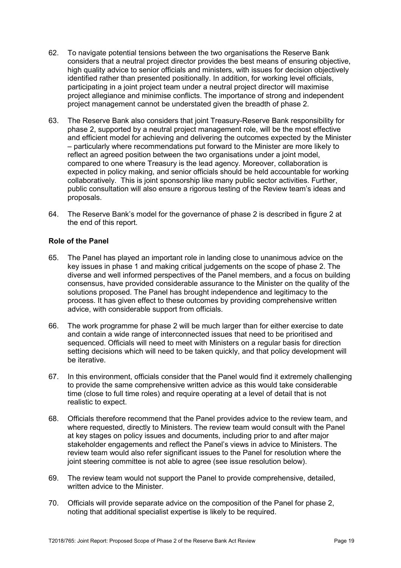- 62. To navigate potential tensions between the two organisations the Reserve Bank considers that a neutral project director provides the best means of ensuring objective, high quality advice to senior officials and ministers, with issues for decision objectively identified rather than presented positionally. In addition, for working level officials, participating in a joint project team under a neutral project director will maximise project allegiance and minimise conflicts. The importance of strong and independent project management cannot be understated given the breadth of phase 2.
- 63. The Reserve Bank also considers that joint Treasury-Reserve Bank responsibility for phase 2, supported by a neutral project management role, will be the most effective and efficient model for achieving and delivering the outcomes expected by the Minister – particularly where recommendations put forward to the Minister are more likely to reflect an agreed position between the two organisations under a joint model, compared to one where Treasury is the lead agency. Moreover, collaboration is expected in policy making, and senior officials should be held accountable for working collaboratively. This is joint sponsorship like many public sector activities. Further, public consultation will also ensure a rigorous testing of the Review team's ideas and proposals.
- 64. The Reserve Bank's model for the governance of phase 2 is described in figure 2 at the end of this report.

### **Role of the Panel**

- 65. The Panel has played an important role in landing close to unanimous advice on the key issues in phase 1 and making critical judgements on the scope of phase 2. The diverse and well informed perspectives of the Panel members, and a focus on building consensus, have provided considerable assurance to the Minister on the quality of the solutions proposed. The Panel has brought independence and legitimacy to the process. It has given effect to these outcomes by providing comprehensive written advice, with considerable support from officials.
- 66. The work programme for phase 2 will be much larger than for either exercise to date and contain a wide range of interconnected issues that need to be prioritised and sequenced. Officials will need to meet with Ministers on a regular basis for direction setting decisions which will need to be taken quickly, and that policy development will be iterative.
- 67. In this environment, officials consider that the Panel would find it extremely challenging to provide the same comprehensive written advice as this would take considerable time (close to full time roles) and require operating at a level of detail that is not realistic to expect.
- 68. Officials therefore recommend that the Panel provides advice to the review team, and where requested, directly to Ministers. The review team would consult with the Panel at key stages on policy issues and documents, including prior to and after major stakeholder engagements and reflect the Panel's views in advice to Ministers. The review team would also refer significant issues to the Panel for resolution where the joint steering committee is not able to agree (see issue resolution below).
- 69. The review team would not support the Panel to provide comprehensive, detailed, written advice to the Minister.
- 70. Officials will provide separate advice on the composition of the Panel for phase 2, noting that additional specialist expertise is likely to be required.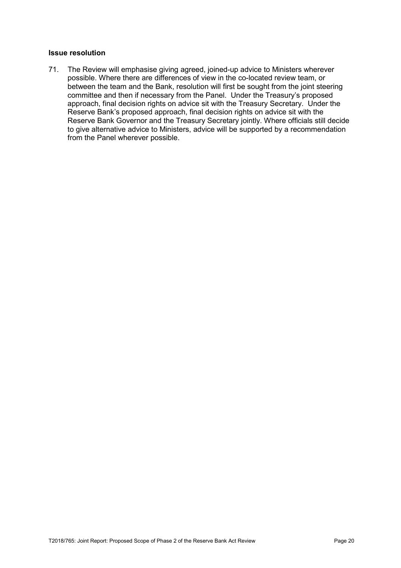#### **Issue resolution**

71. The Review will emphasise giving agreed, joined-up advice to Ministers wherever possible. Where there are differences of view in the co-located review team, or between the team and the Bank, resolution will first be sought from the joint steering committee and then if necessary from the Panel. Under the Treasury's proposed approach, final decision rights on advice sit with the Treasury Secretary. Under the Reserve Bank's proposed approach, final decision rights on advice sit with the Reserve Bank Governor and the Treasury Secretary jointly. Where officials still decide to give alternative advice to Ministers, advice will be supported by a recommendation from the Panel wherever possible.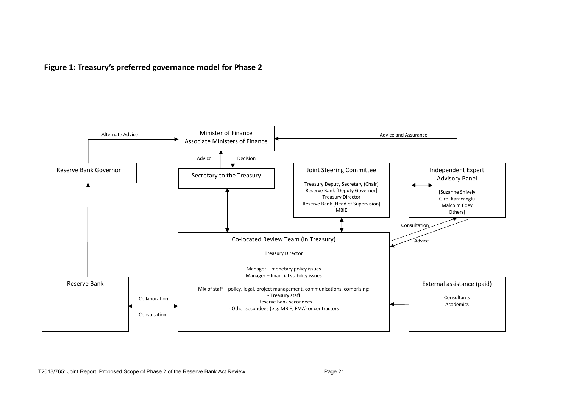**Figure 1: Treasury's preferred governance model for Phase 2**